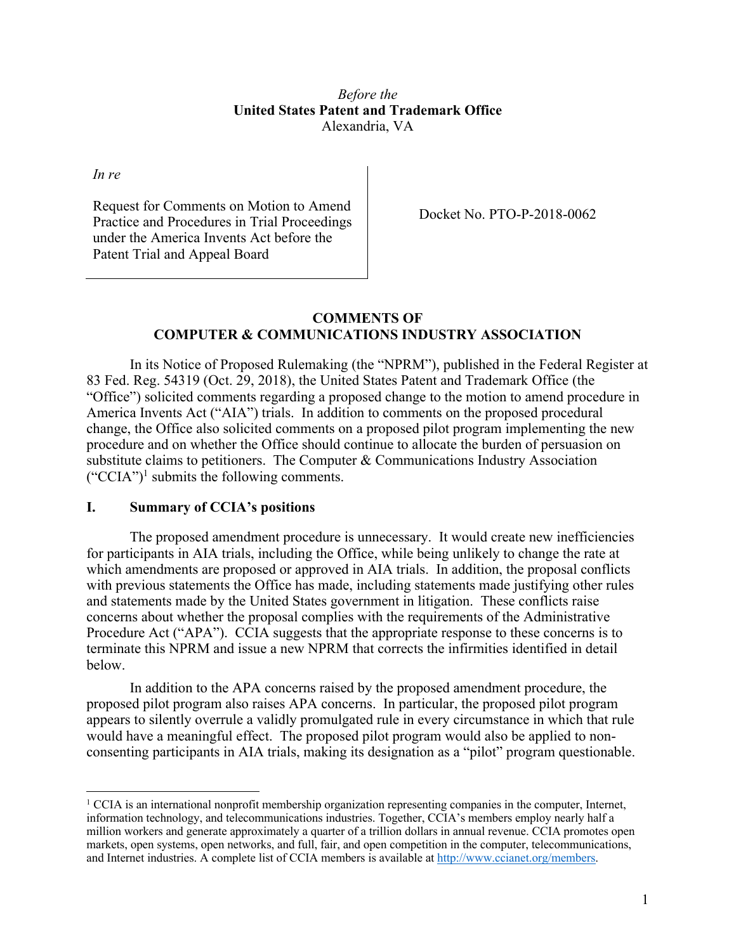### *Before the*  **United States Patent and Trademark Office**  Alexandria, VA

*In re* 

 $\overline{a}$ 

Request for Comments on Motion to Amend<br>Practice and Procedures in Trial Proceedings Docket No. PTO-P-2018-0062 under the America Invents Act before the Patent Trial and Appeal Board

## **COMMENTS OF COMPUTER & COMMUNICATIONS INDUSTRY ASSOCIATION**

In its Notice of Proposed Rulemaking (the "NPRM"), published in the Federal Register at 83 Fed. Reg. 54319 (Oct. 29, 2018), the United States Patent and Trademark Office (the "Office") solicited comments regarding a proposed change to the motion to amend procedure in America Invents Act ("AIA") trials. In addition to comments on the proposed procedural change, the Office also solicited comments on a proposed pilot program implementing the new procedure and on whether the Office should continue to allocate the burden of persuasion on substitute claims to petitioners. The Computer & Communications Industry Association  $("CCA")<sup>1</sup>$  submits the following comments.

### **I. Summary of CCIA's positions**

 Procedure Act ("APA"). CCIA suggests that the appropriate response to these concerns is to The proposed amendment procedure is unnecessary. It would create new inefficiencies for participants in AIA trials, including the Office, while being unlikely to change the rate at which amendments are proposed or approved in AIA trials. In addition, the proposal conflicts with previous statements the Office has made, including statements made justifying other rules and statements made by the United States government in litigation. These conflicts raise concerns about whether the proposal complies with the requirements of the Administrative terminate this NPRM and issue a new NPRM that corrects the infirmities identified in detail below.

In addition to the APA concerns raised by the proposed amendment procedure, the proposed pilot program also raises APA concerns. In particular, the proposed pilot program appears to silently overrule a validly promulgated rule in every circumstance in which that rule would have a meaningful effect. The proposed pilot program would also be applied to nonconsenting participants in AIA trials, making its designation as a "pilot" program questionable.

 million workers and generate approximately a quarter of a trillion dollars in annual revenue. CCIA promotes open markets, open systems, open networks, and full, fair, and open competition in the computer, telecommunications, and Internet industries. A complete list of CCIA members is available at http://www.ccianet.org/members. 1 CCIA is an international nonprofit membership organization representing companies in the computer, Internet, information technology, and telecommunications industries. Together, CCIA's members employ nearly half a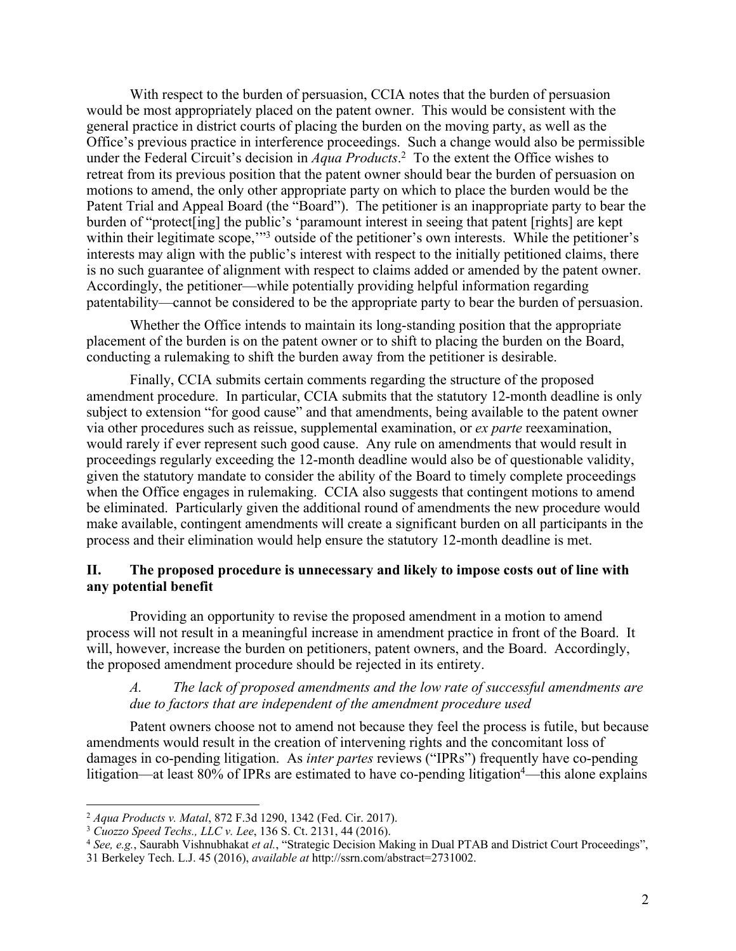Office's previous practice in interference proceedings. Such a change would also be permissible under the Federal Circuit's decision in *Aqua Products*. 2 To the extent the Office wishes to burden of "protect[ing] the public's 'paramount interest in seeing that patent [rights] are kept within their legitimate scope,"<sup>3</sup> outside of the petitioner's own interests. While the petitioner's With respect to the burden of persuasion, CCIA notes that the burden of persuasion would be most appropriately placed on the patent owner. This would be consistent with the general practice in district courts of placing the burden on the moving party, as well as the retreat from its previous position that the patent owner should bear the burden of persuasion on motions to amend, the only other appropriate party on which to place the burden would be the Patent Trial and Appeal Board (the "Board"). The petitioner is an inappropriate party to bear the interests may align with the public's interest with respect to the initially petitioned claims, there is no such guarantee of alignment with respect to claims added or amended by the patent owner. Accordingly, the petitioner—while potentially providing helpful information regarding patentability—cannot be considered to be the appropriate party to bear the burden of persuasion.

Whether the Office intends to maintain its long-standing position that the appropriate placement of the burden is on the patent owner or to shift to placing the burden on the Board, conducting a rulemaking to shift the burden away from the petitioner is desirable.

 would rarely if ever represent such good cause. Any rule on amendments that would result in when the Office engages in rulemaking. CCIA also suggests that contingent motions to amend Finally, CCIA submits certain comments regarding the structure of the proposed amendment procedure. In particular, CCIA submits that the statutory 12-month deadline is only subject to extension "for good cause" and that amendments, being available to the patent owner via other procedures such as reissue, supplemental examination, or *ex parte* reexamination, proceedings regularly exceeding the 12-month deadline would also be of questionable validity, given the statutory mandate to consider the ability of the Board to timely complete proceedings be eliminated. Particularly given the additional round of amendments the new procedure would make available, contingent amendments will create a significant burden on all participants in the process and their elimination would help ensure the statutory 12-month deadline is met.

#### **II. The proposed procedure is unnecessary and likely to impose costs out of line with any potential benefit**

 process will not result in a meaningful increase in amendment practice in front of the Board. It Providing an opportunity to revise the proposed amendment in a motion to amend will, however, increase the burden on petitioners, patent owners, and the Board. Accordingly, the proposed amendment procedure should be rejected in its entirety.

## *A. The lack of proposed amendments and the low rate of successful amendments are due to factors that are independent of the amendment procedure used*

 damages in co-pending litigation. As *inter partes* reviews ("IPRs") frequently have co-pending Patent owners choose not to amend not because they feel the process is futile, but because amendments would result in the creation of intervening rights and the concomitant loss of litigation—at least  $80\%$  of IPRs are estimated to have co-pending litigation<sup>4</sup>—this alone explains

<sup>&</sup>lt;sup>3</sup> Cuozzo Speed Techs., LLC v. Lee, 136 S. Ct. 2131, 44 (2016).

<sup>&</sup>lt;sup>2</sup> Aqua Products v. Matal, 872 F.3d 1290, 1342 (Fed. Cir. 2017).<br><sup>3</sup> Cuozzo Speed Techs., LLC v. Lee, 136 S. Ct. 2131, 44 (2016).<br><sup>4</sup> See, e.g., Saurabh Vishnubhakat et al., "Strategic Decision Making in Dual PTAB and Dis

 31 Berkeley Tech. L.J. 45 (2016), *available at* http://ssrn.com/abstract=2731002.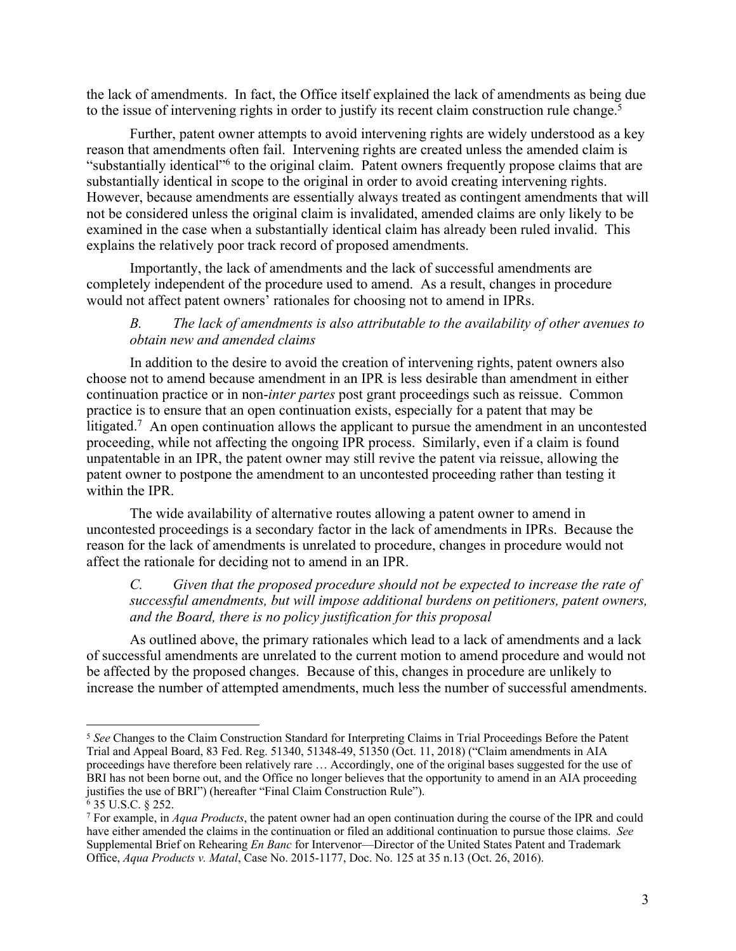the lack of amendments. In fact, the Office itself explained the lack of amendments as being due to the issue of intervening rights in order to justify its recent claim construction rule change.<sup>5</sup>

 examined in the case when a substantially identical claim has already been ruled invalid. This Further, patent owner attempts to avoid intervening rights are widely understood as a key reason that amendments often fail. Intervening rights are created unless the amended claim is "substantially identical"6 to the original claim. Patent owners frequently propose claims that are substantially identical in scope to the original in order to avoid creating intervening rights. However, because amendments are essentially always treated as contingent amendments that will not be considered unless the original claim is invalidated, amended claims are only likely to be explains the relatively poor track record of proposed amendments.

Importantly, the lack of amendments and the lack of successful amendments are completely independent of the procedure used to amend. As a result, changes in procedure would not affect patent owners' rationales for choosing not to amend in IPRs.

# *B. The lack of amendments is also attributable to the availability of other avenues to obtain new and amended claims*

litigated.<sup>7</sup> An open continuation allows the applicant to pursue the amendment in an uncontested In addition to the desire to avoid the creation of intervening rights, patent owners also choose not to amend because amendment in an IPR is less desirable than amendment in either continuation practice or in non-*inter partes* post grant proceedings such as reissue. Common practice is to ensure that an open continuation exists, especially for a patent that may be proceeding, while not affecting the ongoing IPR process. Similarly, even if a claim is found unpatentable in an IPR, the patent owner may still revive the patent via reissue, allowing the patent owner to postpone the amendment to an uncontested proceeding rather than testing it within the IPR.

The wide availability of alternative routes allowing a patent owner to amend in uncontested proceedings is a secondary factor in the lack of amendments in IPRs. Because the reason for the lack of amendments is unrelated to procedure, changes in procedure would not affect the rationale for deciding not to amend in an IPR.

# *C. Given that the proposed procedure should not be expected to increase the rate of successful amendments, but will impose additional burdens on petitioners, patent owners, and the Board, there is no policy justification for this proposal*

As outlined above, the primary rationales which lead to a lack of amendments and a lack of successful amendments are unrelated to the current motion to amend procedure and would not be affected by the proposed changes. Because of this, changes in procedure are unlikely to increase the number of attempted amendments, much less the number of successful amendments.

6 35 U.S.C. § 252.

 Trial and Appeal Board, 83 Fed. Reg. 51340, 51348-49, 51350 (Oct. 11, 2018) ("Claim amendments in AIA proceedings have therefore been relatively rare … Accordingly, one of the original bases suggested for the use of BRI has not been borne out, and the Office no longer believes that the opportunity to amend in an AIA proceeding justifies the use of BRI") (hereafter "Final Claim Construction Rule"). <sup>5</sup>*See* Changes to the Claim Construction Standard for Interpreting Claims in Trial Proceedings Before the Patent

 7 For example, in *Aqua Products*, the patent owner had an open continuation during the course of the IPR and could have either amended the claims in the continuation or filed an additional continuation to pursue those claims. *See*  Supplemental Brief on Rehearing *En Banc* for Intervenor—Director of the United States Patent and Trademark Office, *Aqua Products v. Matal*, Case No. 2015-1177, Doc. No. 125 at 35 n.13 (Oct. 26, 2016).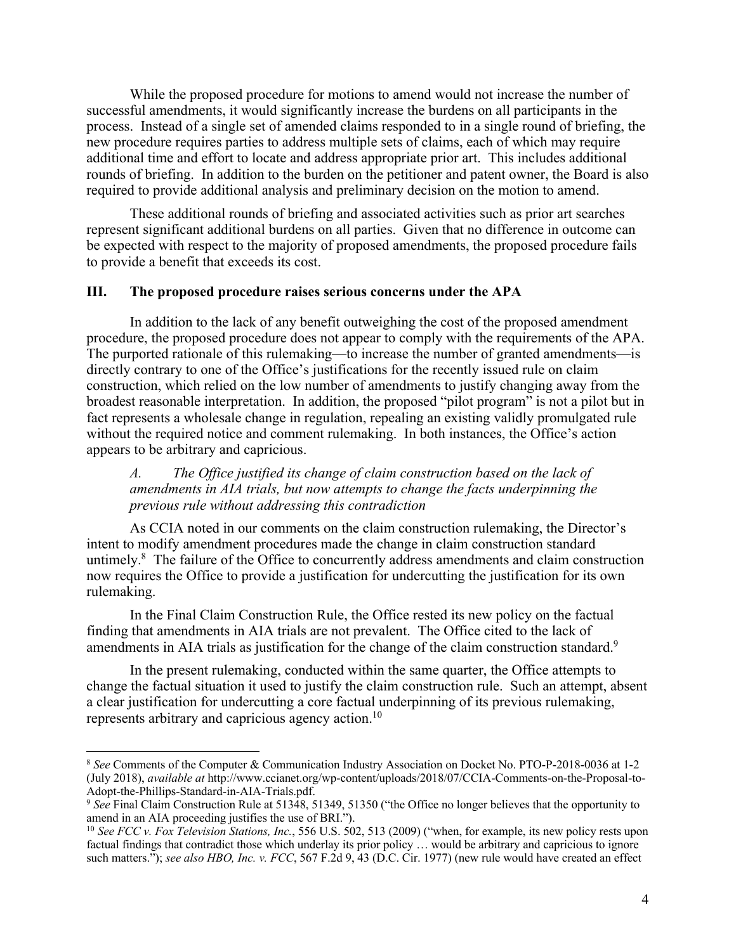While the proposed procedure for motions to amend would not increase the number of successful amendments, it would significantly increase the burdens on all participants in the process. Instead of a single set of amended claims responded to in a single round of briefing, the new procedure requires parties to address multiple sets of claims, each of which may require additional time and effort to locate and address appropriate prior art. This includes additional rounds of briefing. In addition to the burden on the petitioner and patent owner, the Board is also required to provide additional analysis and preliminary decision on the motion to amend.

These additional rounds of briefing and associated activities such as prior art searches represent significant additional burdens on all parties. Given that no difference in outcome can be expected with respect to the majority of proposed amendments, the proposed procedure fails to provide a benefit that exceeds its cost.

#### **III. The proposed procedure raises serious concerns under the APA**

In addition to the lack of any benefit outweighing the cost of the proposed amendment procedure, the proposed procedure does not appear to comply with the requirements of the APA. The purported rationale of this rulemaking—to increase the number of granted amendments—is directly contrary to one of the Office's justifications for the recently issued rule on claim construction, which relied on the low number of amendments to justify changing away from the broadest reasonable interpretation. In addition, the proposed "pilot program" is not a pilot but in fact represents a wholesale change in regulation, repealing an existing validly promulgated rule without the required notice and comment rulemaking. In both instances, the Office's action appears to be arbitrary and capricious.

 *amendments in AIA trials, but now attempts to change the facts underpinning the A. The Office justified its change of claim construction based on the lack of previous rule without addressing this contradiction* 

untimely.<sup>8</sup> The failure of the Office to concurrently address amendments and claim construction As CCIA noted in our comments on the claim construction rulemaking, the Director's intent to modify amendment procedures made the change in claim construction standard now requires the Office to provide a justification for undercutting the justification for its own rulemaking.

 In the Final Claim Construction Rule, the Office rested its new policy on the factual finding that amendments in AIA trials are not prevalent. The Office cited to the lack of amendments in AIA trials as justification for the change of the claim construction standard.<sup>9</sup>

In the present rulemaking, conducted within the same quarter, the Office attempts to change the factual situation it used to justify the claim construction rule. Such an attempt, absent a clear justification for undercutting a core factual underpinning of its previous rulemaking, represents arbitrary and capricious agency action.10

 (July 2018), *available at* http://www.ccianet.org/wp-content/uploads/2018/07/CCIA-Comments-on-the-Proposal-to-<sup>8</sup>*See* Comments of the Computer & Communication Industry Association on Docket No. PTO-P-2018-0036 at 1-2 Adopt-the-Phillips-Standard-in-AIA-Trials.pdf.

 <sup>9</sup>*See* Final Claim Construction Rule at 51348, 51349, 51350 ("the Office no longer believes that the opportunity to amend in an AIA proceeding justifies the use of BRI."). amend in an AIA proceeding justifies the use of BRI.").<br><sup>10</sup> *See FCC v. Fox Television Stations, Inc.*, 556 U.S. 502, 513 (2009) ("when, for example, its new policy rests upon

 factual findings that contradict those which underlay its prior policy … would be arbitrary and capricious to ignore  such matters."); *see also HBO, Inc. v. FCC*, 567 F.2d 9, 43 (D.C. Cir. 1977) (new rule would have created an effect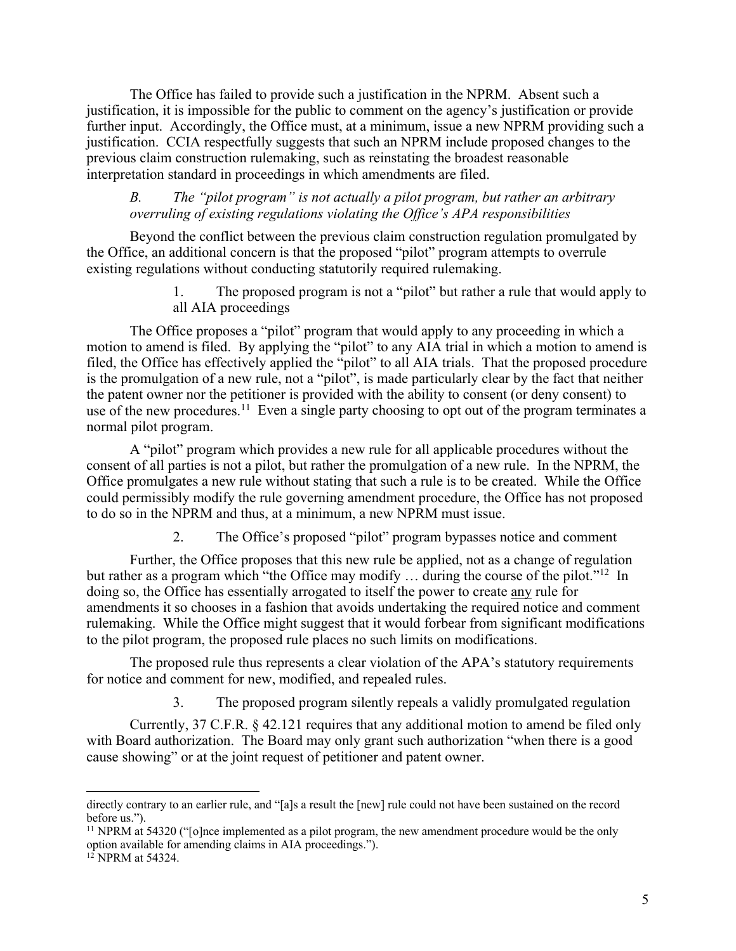The Office has failed to provide such a justification in the NPRM. Absent such a justification, it is impossible for the public to comment on the agency's justification or provide further input. Accordingly, the Office must, at a minimum, issue a new NPRM providing such a justification. CCIA respectfully suggests that such an NPRM include proposed changes to the previous claim construction rulemaking, such as reinstating the broadest reasonable interpretation standard in proceedings in which amendments are filed.

## *B. The "pilot program" is not actually a pilot program, but rather an arbitrary overruling of existing regulations violating the Office's APA responsibilities*

Beyond the conflict between the previous claim construction regulation promulgated by the Office, an additional concern is that the proposed "pilot" program attempts to overrule existing regulations without conducting statutorily required rulemaking.

> 1. The proposed program is not a "pilot" but rather a rule that would apply to all AIA proceedings

use of the new procedures.<sup>11</sup> Even a single party choosing to opt out of the program terminates a The Office proposes a "pilot" program that would apply to any proceeding in which a motion to amend is filed. By applying the "pilot" to any AIA trial in which a motion to amend is filed, the Office has effectively applied the "pilot" to all AIA trials. That the proposed procedure is the promulgation of a new rule, not a "pilot", is made particularly clear by the fact that neither the patent owner nor the petitioner is provided with the ability to consent (or deny consent) to normal pilot program.

 A "pilot" program which provides a new rule for all applicable procedures without the consent of all parties is not a pilot, but rather the promulgation of a new rule. In the NPRM, the could permissibly modify the rule governing amendment procedure, the Office has not proposed Office promulgates a new rule without stating that such a rule is to be created. While the Office to do so in the NPRM and thus, at a minimum, a new NPRM must issue.

2. The Office's proposed "pilot" program bypasses notice and comment

but rather as a program which "the Office may modify ... during the course of the pilot."<sup>12</sup> In doing so, the Office has essentially arrogated to itself the power to create any rule for Further, the Office proposes that this new rule be applied, not as a change of regulation amendments it so chooses in a fashion that avoids undertaking the required notice and comment rulemaking. While the Office might suggest that it would forbear from significant modifications to the pilot program, the proposed rule places no such limits on modifications.

The proposed rule thus represents a clear violation of the APA's statutory requirements for notice and comment for new, modified, and repealed rules.

3. The proposed program silently repeals a validly promulgated regulation

 cause showing" or at the joint request of petitioner and patent owner. Currently, 37 C.F.R. § 42.121 requires that any additional motion to amend be filed only with Board authorization. The Board may only grant such authorization "when there is a good

directly contrary to an earlier rule, and "[a]s a result the [new] rule could not have been sustained on the record before us.").

<sup>&</sup>lt;sup>11</sup> NPRM at 54320 ("[o]nce implemented as a pilot program, the new amendment procedure would be the only option available for amending claims in AIA proceedings.").

 12 NPRM at 54324.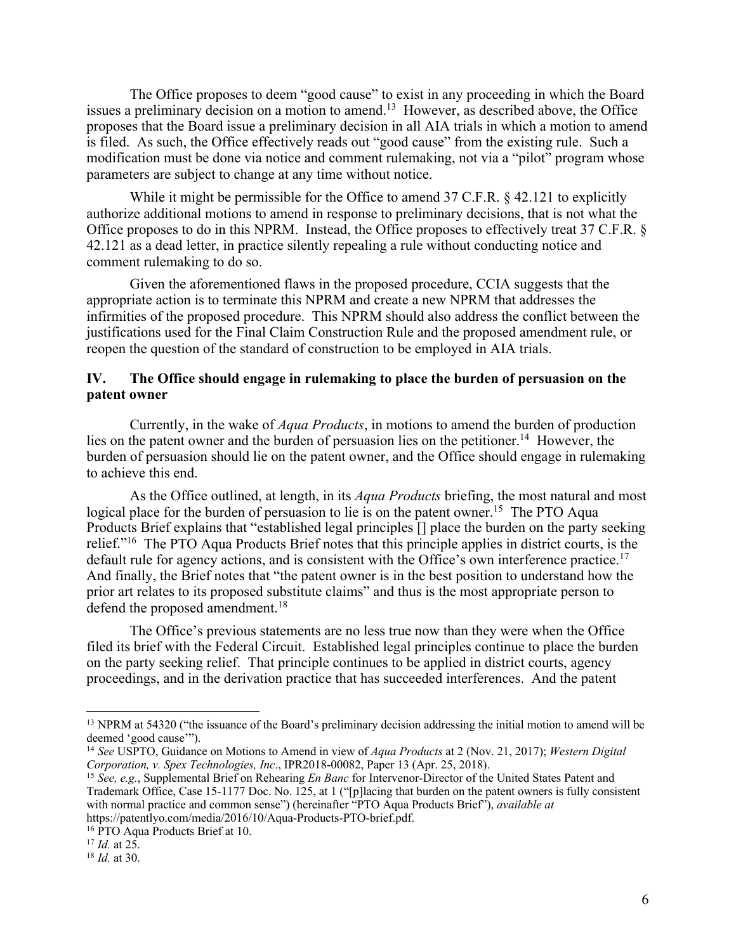issues a preliminary decision on a motion to amend.<sup>13</sup> However, as described above, the Office The Office proposes to deem "good cause" to exist in any proceeding in which the Board proposes that the Board issue a preliminary decision in all AIA trials in which a motion to amend is filed. As such, the Office effectively reads out "good cause" from the existing rule. Such a modification must be done via notice and comment rulemaking, not via a "pilot" program whose parameters are subject to change at any time without notice.

While it might be permissible for the Office to amend 37 C.F.R. § 42.121 to explicitly authorize additional motions to amend in response to preliminary decisions, that is not what the Office proposes to do in this NPRM. Instead, the Office proposes to effectively treat 37 C.F.R. § 42.121 as a dead letter, in practice silently repealing a rule without conducting notice and comment rulemaking to do so.

Given the aforementioned flaws in the proposed procedure, CCIA suggests that the appropriate action is to terminate this NPRM and create a new NPRM that addresses the infirmities of the proposed procedure. This NPRM should also address the conflict between the justifications used for the Final Claim Construction Rule and the proposed amendment rule, or reopen the question of the standard of construction to be employed in AIA trials.

## **IV. The Office should engage in rulemaking to place the burden of persuasion on the patent owner**

lies on the patent owner and the burden of persuasion lies on the petitioner.<sup>14</sup> However, the Currently, in the wake of *Aqua Products*, in motions to amend the burden of production burden of persuasion should lie on the patent owner, and the Office should engage in rulemaking to achieve this end.

logical place for the burden of persuasion to lie is on the patent owner.<sup>15</sup> The PTO Aqua relief."<sup>16</sup> The PTO Aqua Products Brief notes that this principle applies in district courts, is the default rule for agency actions, and is consistent with the Office's own interference practice.<sup>17</sup> As the Office outlined, at length, in its *Aqua Products* briefing, the most natural and most Products Brief explains that "established legal principles [] place the burden on the party seeking And finally, the Brief notes that "the patent owner is in the best position to understand how the prior art relates to its proposed substitute claims" and thus is the most appropriate person to defend the proposed amendment.<sup>18</sup>

The Office's previous statements are no less true now than they were when the Office filed its brief with the Federal Circuit. Established legal principles continue to place the burden on the party seeking relief. That principle continues to be applied in district courts, agency proceedings, and in the derivation practice that has succeeded interferences. And the patent

<sup>&</sup>lt;sup>13</sup> NPRM at 54320 ("the issuance of the Board's preliminary decision addressing the initial motion to amend will be deemed 'good cause'").

 <sup>14</sup>*See* USPTO, Guidance on Motions to Amend in view of *Aqua Products* at 2 (Nov. 21, 2017); *Western Digital*  Corporation, v. Spex Technologies, Inc., IPR2018-00082, Paper 13 (Apr. 25, 2018). *Corporation, v. Spex Technologies, Inc*., IPR2018-00082, Paper 13 (Apr. 25, 2018). 15 *See, e.g.*, Supplemental Brief on Rehearing *En Banc* for Intervenor-Director of the United States Patent and

 Trademark Office, Case 15-1177 Doc. No. 125, at 1 ("[p]lacing that burden on the patent owners is fully consistent with normal practice and common sense") (hereinafter "PTO Aqua Products Brief"), *available at*  https://patentlyo.com/media/2016/10/Aqua-Products-PTO-brief.pdf.

<sup>&</sup>lt;sup>16</sup> PTO Aqua Products Brief at 10.

 $17$  *Id.* at 25.

 $18$  *Id.* at 30.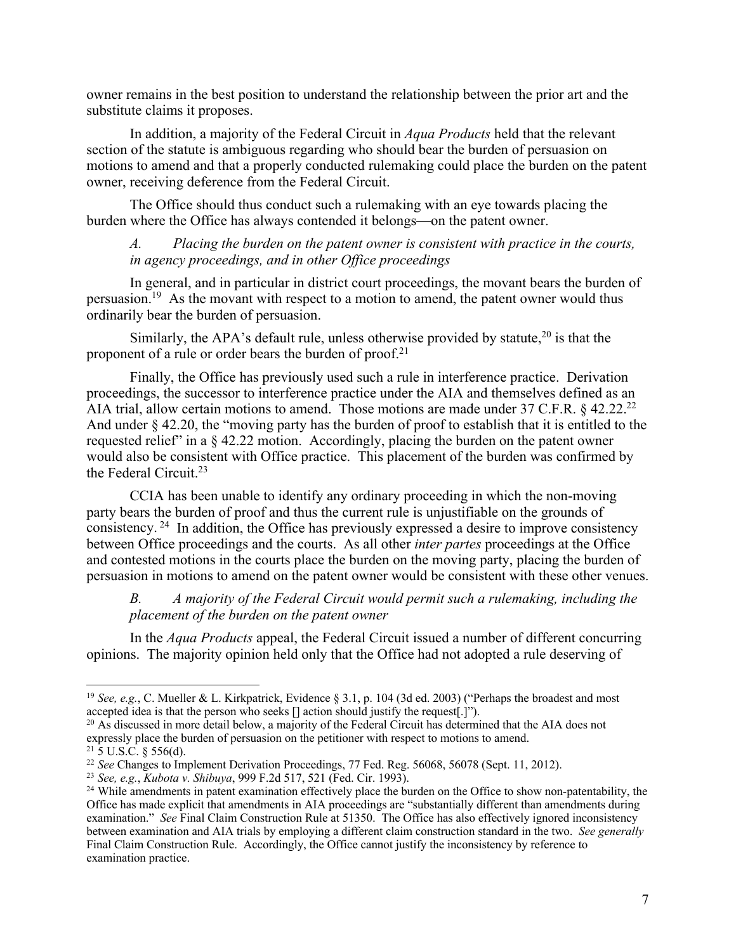owner remains in the best position to understand the relationship between the prior art and the substitute claims it proposes.

In addition, a majority of the Federal Circuit in *Aqua Products* held that the relevant section of the statute is ambiguous regarding who should bear the burden of persuasion on motions to amend and that a properly conducted rulemaking could place the burden on the patent owner, receiving deference from the Federal Circuit.

The Office should thus conduct such a rulemaking with an eye towards placing the burden where the Office has always contended it belongs—on the patent owner.

*A. Placing the burden on the patent owner is consistent with practice in the courts, in agency proceedings, and in other Office proceedings* 

persuasion.<sup>19</sup> As the movant with respect to a motion to amend, the patent owner would thus In general, and in particular in district court proceedings, the movant bears the burden of ordinarily bear the burden of persuasion.

Similarly, the APA's default rule, unless otherwise provided by statute,  $20$  is that the proponent of a rule or order bears the burden of proof.<sup>21</sup>

AIA trial, allow certain motions to amend. Those motions are made under 37 C.F.R.  $\S$  42.22.<sup>22</sup> would also be consistent with Office practice. This placement of the burden was confirmed by Finally, the Office has previously used such a rule in interference practice. Derivation proceedings, the successor to interference practice under the AIA and themselves defined as an And under § 42.20, the "moving party has the burden of proof to establish that it is entitled to the requested relief" in a § 42.22 motion. Accordingly, placing the burden on the patent owner the Federal Circuit.23

consistency.  $24$  In addition, the Office has previously expressed a desire to improve consistency CCIA has been unable to identify any ordinary proceeding in which the non-moving party bears the burden of proof and thus the current rule is unjustifiable on the grounds of between Office proceedings and the courts. As all other *inter partes* proceedings at the Office and contested motions in the courts place the burden on the moving party, placing the burden of persuasion in motions to amend on the patent owner would be consistent with these other venues.

*B. A majority of the Federal Circuit would permit such a rulemaking, including the placement of the burden on the patent owner* 

In the *Aqua Products* appeal, the Federal Circuit issued a number of different concurring opinions. The majority opinion held only that the Office had not adopted a rule deserving of

 accepted idea is that the person who seeks [] action should justify the request[.]"). <sup>19</sup> See, e.g., C. Mueller & L. Kirkpatrick, Evidence § 3.1, p. 104 (3d ed. 2003) ("Perhaps the broadest and most

 $^{20}$  As discussed in more detail below, a majority of the Federal Circuit has determined that the AIA does not expressly place the burden of persuasion on the petitioner with respect to motions to amend.

<sup>&</sup>lt;sup>22</sup> See Changes to Implement Derivation Proceedings, 77 Fed. Reg. 56068, 56078 (Sept. 11, 2012).

<sup>&</sup>lt;sup>23</sup> See, e.g., *Kubota v. Shibuya*, 999 F.2d 517, 521 (Fed. Cir. 1993).

<sup>&</sup>lt;sup>21</sup> 5 U.S.C. § 556(d).<br><sup>22</sup> See Changes to Implement Derivation Proceedings, 77 Fed. Reg. 56068, 56078 (Sept. 11, 2012).<br><sup>23</sup> See, e.g., Kubota v. Shibuya, 999 F.2d 517, 521 (Fed. Cir. 1993).<br><sup>24</sup> While amendments in pate Office has made explicit that amendments in AIA proceedings are "substantially different than amendments during examination." *See* Final Claim Construction Rule at 51350. The Office has also effectively ignored inconsistency between examination and AIA trials by employing a different claim construction standard in the two. *See generally*  Final Claim Construction Rule. Accordingly, the Office cannot justify the inconsistency by reference to examination practice. examination practice.<br>
<sup>7</sup>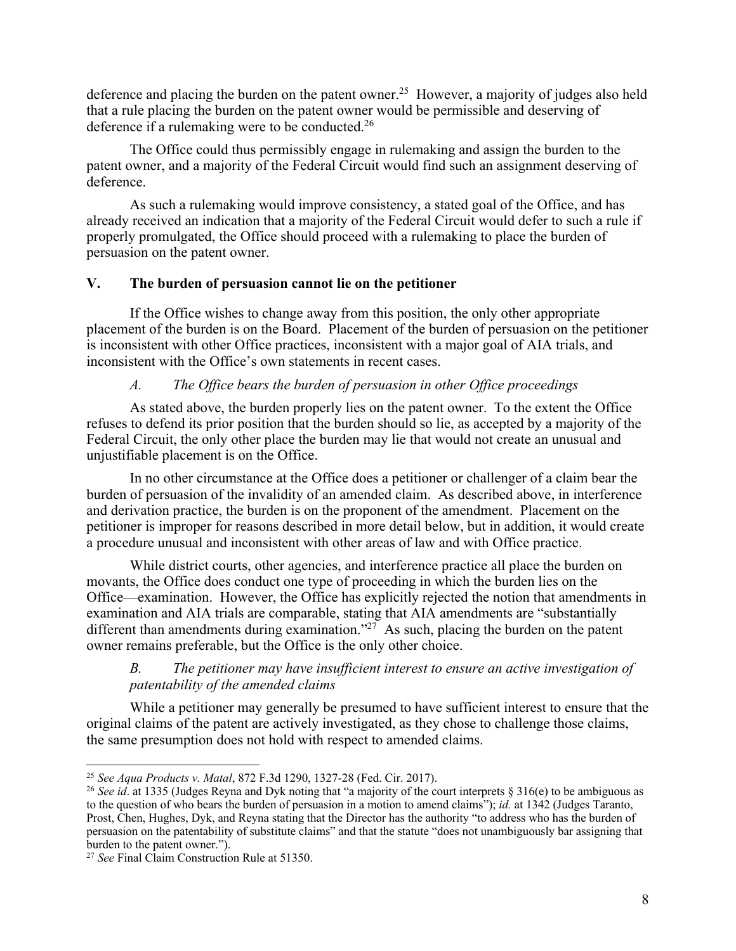deference and placing the burden on the patent owner.<sup>25</sup> However, a majority of judges also held that a rule placing the burden on the patent owner would be permissible and deserving of deference if a rulemaking were to be conducted.<sup>26</sup>

The Office could thus permissibly engage in rulemaking and assign the burden to the patent owner, and a majority of the Federal Circuit would find such an assignment deserving of deference.

As such a rulemaking would improve consistency, a stated goal of the Office, and has already received an indication that a majority of the Federal Circuit would defer to such a rule if properly promulgated, the Office should proceed with a rulemaking to place the burden of persuasion on the patent owner.

# **V. The burden of persuasion cannot lie on the petitioner**

 placement of the burden is on the Board. Placement of the burden of persuasion on the petitioner If the Office wishes to change away from this position, the only other appropriate is inconsistent with other Office practices, inconsistent with a major goal of AIA trials, and inconsistent with the Office's own statements in recent cases.

# *A. The Office bears the burden of persuasion in other Office proceedings*

As stated above, the burden properly lies on the patent owner. To the extent the Office refuses to defend its prior position that the burden should so lie, as accepted by a majority of the Federal Circuit, the only other place the burden may lie that would not create an unusual and unjustifiable placement is on the Office.

In no other circumstance at the Office does a petitioner or challenger of a claim bear the burden of persuasion of the invalidity of an amended claim. As described above, in interference and derivation practice, the burden is on the proponent of the amendment. Placement on the petitioner is improper for reasons described in more detail below, but in addition, it would create a procedure unusual and inconsistent with other areas of law and with Office practice.

different than amendments during examination."<sup>27</sup> As such, placing the burden on the patent While district courts, other agencies, and interference practice all place the burden on movants, the Office does conduct one type of proceeding in which the burden lies on the Office—examination. However, the Office has explicitly rejected the notion that amendments in examination and AIA trials are comparable, stating that AIA amendments are "substantially owner remains preferable, but the Office is the only other choice.

# *B. The petitioner may have insufficient interest to ensure an active investigation of patentability of the amended claims*

While a petitioner may generally be presumed to have sufficient interest to ensure that the original claims of the patent are actively investigated, as they chose to challenge those claims, the same presumption does not hold with respect to amended claims.

 $\overline{a}$ 

<sup>&</sup>lt;sup>25</sup> See Aqua Products v. Matal, 872 F.3d 1290, 1327-28 (Fed. Cir. 2017).<br><sup>26</sup> See id. at 1335 (Judges Reyna and Dyk noting that "a majority of the court interprets § 316(e) to be ambiguous as to the question of who bears the burden of persuasion in a motion to amend claims"); *id.* at 1342 (Judges Taranto, Prost, Chen, Hughes, Dyk, and Reyna stating that the Director has the authority "to address who has the burden of persuasion on the patentability of substitute claims" and that the statute "does not unambiguously bar assigning that burden to the patent owner.").

 <sup>27</sup>*See* Final Claim Construction Rule at 51350.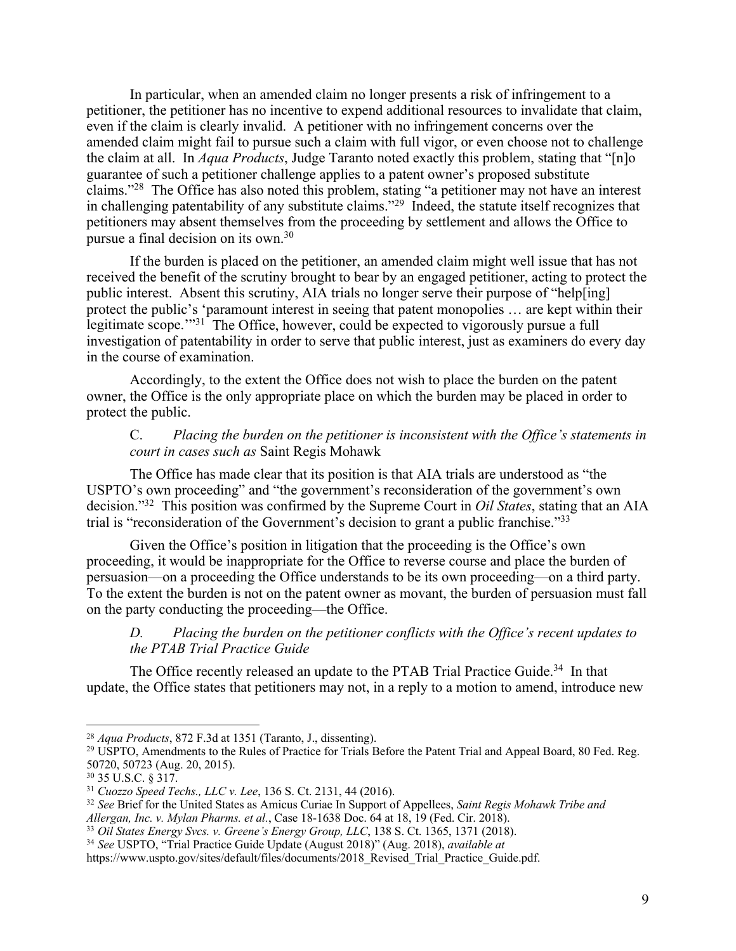the claim at all. In *Aqua Products*, Judge Taranto noted exactly this problem, stating that "[n]o claims."<sup>28</sup> The Office has also noted this problem, stating "a petitioner may not have an interest in challenging patentability of any substitute claims."<sup>29</sup> Indeed, the statute itself recognizes that In particular, when an amended claim no longer presents a risk of infringement to a petitioner, the petitioner has no incentive to expend additional resources to invalidate that claim, even if the claim is clearly invalid. A petitioner with no infringement concerns over the amended claim might fail to pursue such a claim with full vigor, or even choose not to challenge guarantee of such a petitioner challenge applies to a patent owner's proposed substitute petitioners may absent themselves from the proceeding by settlement and allows the Office to pursue a final decision on its own.30

legitimate scope."<sup>31</sup> The Office, however, could be expected to vigorously pursue a full If the burden is placed on the petitioner, an amended claim might well issue that has not received the benefit of the scrutiny brought to bear by an engaged petitioner, acting to protect the public interest. Absent this scrutiny, AIA trials no longer serve their purpose of "help[ing] protect the public's 'paramount interest in seeing that patent monopolies … are kept within their investigation of patentability in order to serve that public interest, just as examiners do every day in the course of examination.

Accordingly, to the extent the Office does not wish to place the burden on the patent owner, the Office is the only appropriate place on which the burden may be placed in order to protect the public.

## C. *Placing the burden on the petitioner is inconsistent with the Office's statements in court in cases such as* Saint Regis Mohawk

 decision."32 This position was confirmed by the Supreme Court in *Oil States*, stating that an AIA The Office has made clear that its position is that AIA trials are understood as "the USPTO's own proceeding" and "the government's reconsideration of the government's own trial is "reconsideration of the Government's decision to grant a public franchise."33

Given the Office's position in litigation that the proceeding is the Office's own proceeding, it would be inappropriate for the Office to reverse course and place the burden of persuasion—on a proceeding the Office understands to be its own proceeding—on a third party. To the extent the burden is not on the patent owner as movant, the burden of persuasion must fall on the party conducting the proceeding—the Office.

*D. Placing the burden on the petitioner conflicts with the Office's recent updates to the PTAB Trial Practice Guide* 

The Office recently released an update to the PTAB Trial Practice Guide.<sup>34</sup> In that update, the Office states that petitioners may not, in a reply to a motion to amend, introduce new

<sup>&</sup>lt;sup>28</sup> Aqua Products, 872 F.3d at 1351 (Taranto, J., dissenting).<br><sup>29</sup> USPTO, Amendments to the Rules of Practice for Trials Before the Patent Trial and Appeal Board, 80 Fed. Reg. 50720, 50723 (Aug. 20, 2015).

<sup>&</sup>lt;sup>31</sup> Cuozzo Speed Techs., LLC v. Lee, 136 S. Ct. 2131, 44 (2016).

<sup>&</sup>lt;sup>30</sup> 35 U.S.C. § 317.<br><sup>31</sup> *Cuozzo Speed Techs., LLC v. Lee,* 136 S. Ct. 2131, 44 (2016).<br><sup>32</sup> *See* Brief for the United States as Amicus Curiae In Support of Appellees, *Saint Regis Mohawk Tribe and Allergan, Inc. v. Mylan Pharms. et al., Case 18-1638 Doc. 64 at 18, 19 (Fed. Cir. 2018).* Allergan, Inc. v. Mylan Pharms. et al., Case 18-1638 Doc. 64 at 18, 19 (Fed. Cir. 2018).<br><sup>33</sup> Oil States Energy Svcs. v. Greene's Energy Group, LLC, 138 S. Ct. 1365, 1371 (2018).<br><sup>34</sup> See USPTO, "Trial Practice Guide Updat

<sup>&</sup>lt;sup>34</sup> See USPTO, "Trial Practice Guide Update (August 2018)" (Aug. 2018), available at

https://www.uspto.gov/sites/default/files/documents/2018\_Revised\_Trial\_Practice\_Guide.pdf.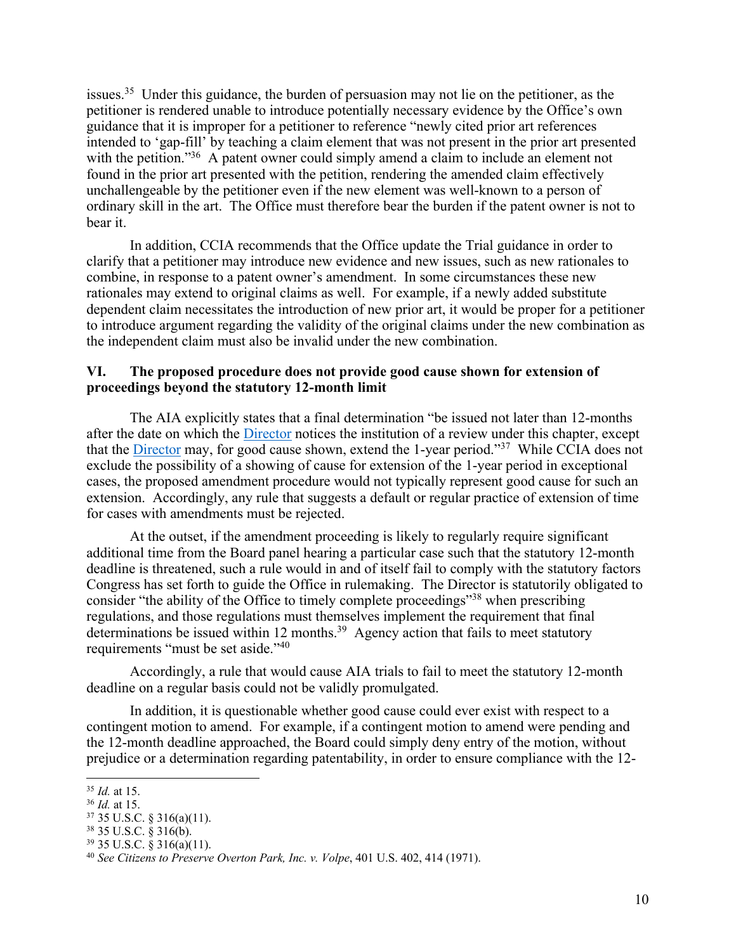issues.<sup>35</sup> Under this guidance, the burden of persuasion may not lie on the petitioner, as the with the petition."<sup>36</sup> A patent owner could simply amend a claim to include an element not petitioner is rendered unable to introduce potentially necessary evidence by the Office's own guidance that it is improper for a petitioner to reference "newly cited prior art references intended to 'gap-fill' by teaching a claim element that was not present in the prior art presented found in the prior art presented with the petition, rendering the amended claim effectively unchallengeable by the petitioner even if the new element was well-known to a person of ordinary skill in the art. The Office must therefore bear the burden if the patent owner is not to bear it.

 In addition, CCIA recommends that the Office update the Trial guidance in order to clarify that a petitioner may introduce new evidence and new issues, such as new rationales to combine, in response to a patent owner's amendment. In some circumstances these new rationales may extend to original claims as well. For example, if a newly added substitute dependent claim necessitates the introduction of new prior art, it would be proper for a petitioner to introduce argument regarding the validity of the original claims under the new combination as the independent claim must also be invalid under the new combination.

### **proceedings beyond the statutory 12-month limit VI. The proposed procedure does not provide good cause shown for extension of**

 The AIA explicitly states that a final determination "be issued not later than 12-months after the date on which the *Director* notices the institution of a review under this chapter, except that the *Director* may, for good cause shown, extend the 1-year period."<sup>37</sup> While CCIA does not exclude the possibility of a showing of cause for extension of the 1-year period in exceptional cases, the proposed amendment procedure would not typically represent good cause for such an extension. Accordingly, any rule that suggests a default or regular practice of extension of time for cases with amendments must be rejected.

determinations be issued within 12 months.<sup>39</sup> Agency action that fails to meet statutory requirements "must be set aside."<sup>40</sup> At the outset, if the amendment proceeding is likely to regularly require significant additional time from the Board panel hearing a particular case such that the statutory 12-month deadline is threatened, such a rule would in and of itself fail to comply with the statutory factors Congress has set forth to guide the Office in rulemaking. The Director is statutorily obligated to consider "the ability of the Office to timely complete proceedings"<sup>38</sup> when prescribing regulations, and those regulations must themselves implement the requirement that final

 Accordingly, a rule that would cause AIA trials to fail to meet the statutory 12-month deadline on a regular basis could not be validly promulgated.

 the 12-month deadline approached, the Board could simply deny entry of the motion, without In addition, it is questionable whether good cause could ever exist with respect to a contingent motion to amend. For example, if a contingent motion to amend were pending and prejudice or a determination regarding patentability, in order to ensure compliance with the 12-

 $35$  *Id.* at 15.

 $^{36}$  *Id.* at 15.<br><sup>37</sup> 35 U.S.C. § 316(a)(11).

<sup>&</sup>lt;sup>35</sup> *Id.* at 15.<br><sup>36</sup> *Id.* at 15.<br><sup>37</sup> 35 U.S.C. § 316(a)(11).<br><sup>38</sup> 35 U.S.C. § 316(a)(11).<br><sup>40</sup> *See Citizens to Preserve Overton Park, Inc. v. Volpe*, 401 U.S. 402, 414 (1971).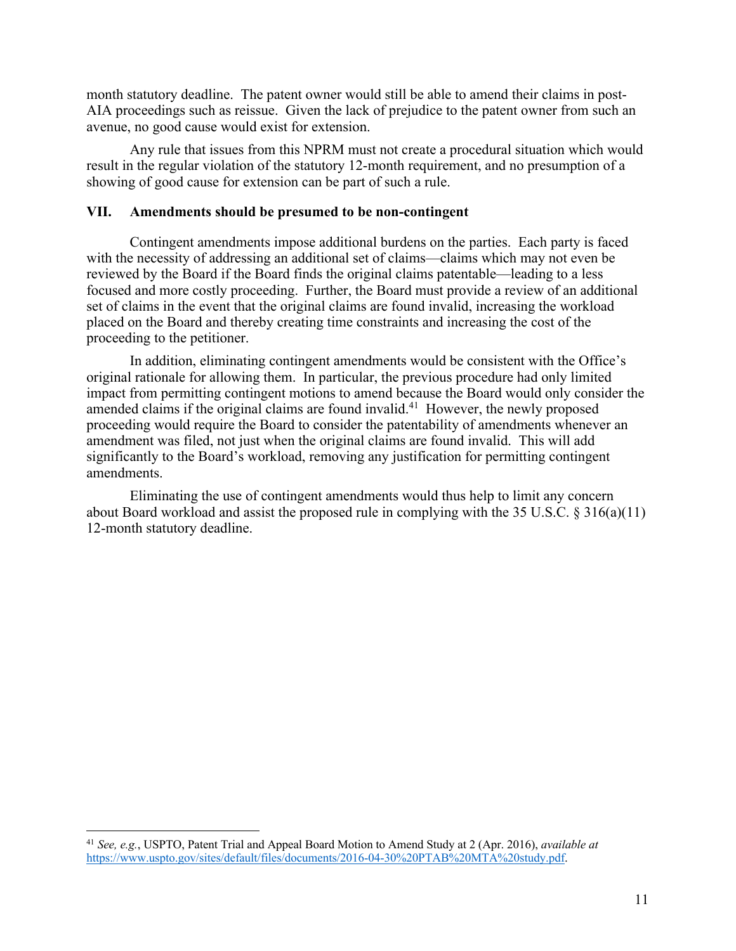month statutory deadline. The patent owner would still be able to amend their claims in post-AIA proceedings such as reissue. Given the lack of prejudice to the patent owner from such an avenue, no good cause would exist for extension.

Any rule that issues from this NPRM must not create a procedural situation which would result in the regular violation of the statutory 12-month requirement, and no presumption of a showing of good cause for extension can be part of such a rule.

### **VII. Amendments should be presumed to be non-contingent**

 focused and more costly proceeding. Further, the Board must provide a review of an additional placed on the Board and thereby creating time constraints and increasing the cost of the Contingent amendments impose additional burdens on the parties. Each party is faced with the necessity of addressing an additional set of claims—claims which may not even be reviewed by the Board if the Board finds the original claims patentable—leading to a less set of claims in the event that the original claims are found invalid, increasing the workload proceeding to the petitioner.

amended claims if the original claims are found invalid.<sup>41</sup> However, the newly proposed In addition, eliminating contingent amendments would be consistent with the Office's original rationale for allowing them. In particular, the previous procedure had only limited impact from permitting contingent motions to amend because the Board would only consider the proceeding would require the Board to consider the patentability of amendments whenever an amendment was filed, not just when the original claims are found invalid. This will add significantly to the Board's workload, removing any justification for permitting contingent amendments.

 Eliminating the use of contingent amendments would thus help to limit any concern about Board workload and assist the proposed rule in complying with the 35 U.S.C. § 316(a)(11) 12-month statutory deadline.

<sup>41</sup>*See, e.g.*, USPTO, Patent Trial and Appeal Board Motion to Amend Study at 2 (Apr. 2016), *available at*  https://www.uspto.gov/sites/default/files/documents/2016-04-30%20PTAB%20MTA%20study.pdf.